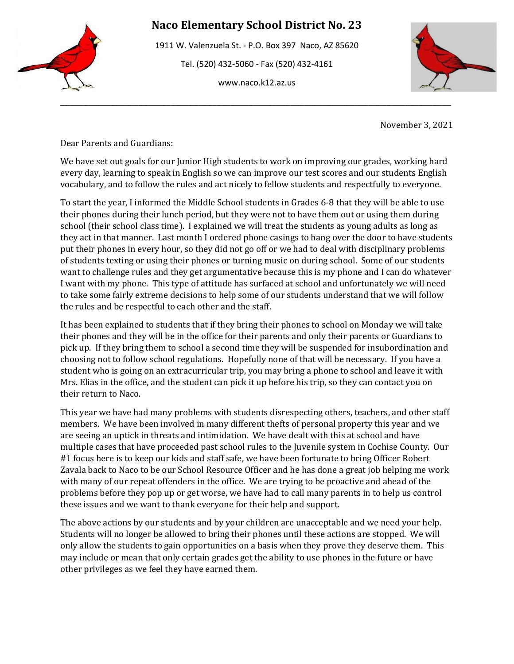

1911 W. Valenzuela St. - P.O. Box 397 Naco, AZ 85620 Tel. (520) 432-5060 - Fax (520) 432-4161 www.naco.k12.az.us

\_\_\_\_\_\_\_\_\_\_\_\_\_\_\_\_\_\_\_\_\_\_\_\_\_\_\_\_\_\_\_\_\_\_\_\_\_\_\_\_\_\_\_\_\_\_\_\_\_\_\_\_\_\_\_\_\_\_\_\_\_\_\_\_\_\_\_\_\_\_\_\_\_\_\_\_\_\_\_\_\_\_\_\_\_



November 3, 2021

Dear Parents and Guardians:

We have set out goals for our Junior High students to work on improving our grades, working hard every day, learning to speak in English so we can improve our test scores and our students English vocabulary, and to follow the rules and act nicely to fellow students and respectfully to everyone.

To start the year, I informed the Middle School students in Grades 6-8 that they will be able to use their phones during their lunch period, but they were not to have them out or using them during school (their school class time). I explained we will treat the students as young adults as long as they act in that manner. Last month I ordered phone casings to hang over the door to have students put their phones in every hour, so they did not go off or we had to deal with disciplinary problems of students texting or using their phones or turning music on during school. Some of our students want to challenge rules and they get argumentative because this is my phone and I can do whatever I want with my phone. This type of attitude has surfaced at school and unfortunately we will need to take some fairly extreme decisions to help some of our students understand that we will follow the rules and be respectful to each other and the staff.

It has been explained to students that if they bring their phones to school on Monday we will take their phones and they will be in the office for their parents and only their parents or Guardians to pick up. If they bring them to school a second time they will be suspended for insubordination and choosing not to follow school regulations. Hopefully none of that will be necessary. If you have a student who is going on an extracurricular trip, you may bring a phone to school and leave it with Mrs. Elias in the office, and the student can pick it up before his trip, so they can contact you on their return to Naco.

This year we have had many problems with students disrespecting others, teachers, and other staff members. We have been involved in many different thefts of personal property this year and we are seeing an uptick in threats and intimidation. We have dealt with this at school and have multiple cases that have proceeded past school rules to the Juvenile system in Cochise County. Our #1 focus here is to keep our kids and staff safe, we have been fortunate to bring Officer Robert Zavala back to Naco to be our School Resource Officer and he has done a great job helping me work with many of our repeat offenders in the office. We are trying to be proactive and ahead of the problems before they pop up or get worse, we have had to call many parents in to help us control these issues and we want to thank everyone for their help and support.

The above actions by our students and by your children are unacceptable and we need your help. Students will no longer be allowed to bring their phones until these actions are stopped. We will only allow the students to gain opportunities on a basis when they prove they deserve them. This may include or mean that only certain grades get the ability to use phones in the future or have other privileges as we feel they have earned them.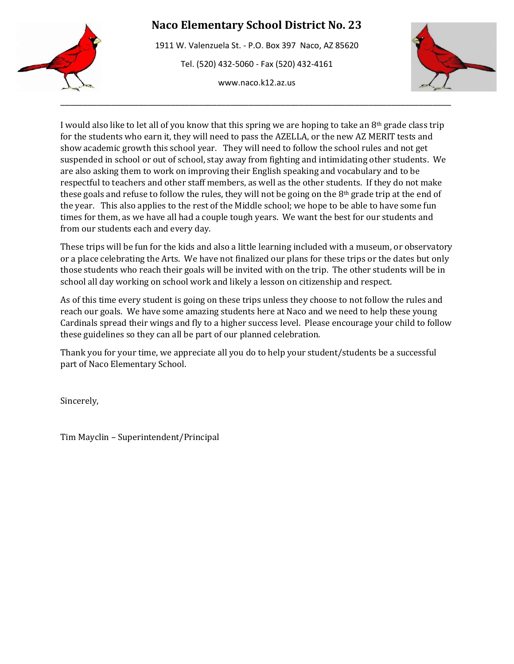1911 W. Valenzuela St. - P.O. Box 397 Naco, AZ 85620 Tel. (520) 432-5060 - Fax (520) 432-4161 www.naco.k12.az.us

\_\_\_\_\_\_\_\_\_\_\_\_\_\_\_\_\_\_\_\_\_\_\_\_\_\_\_\_\_\_\_\_\_\_\_\_\_\_\_\_\_\_\_\_\_\_\_\_\_\_\_\_\_\_\_\_\_\_\_\_\_\_\_\_\_\_\_\_\_\_\_\_\_\_\_\_\_\_\_\_\_\_\_\_\_



I would also like to let all of you know that this spring we are hoping to take an 8th grade class trip for the students who earn it, they will need to pass the AZELLA, or the new AZ MERIT tests and show academic growth this school year. They will need to follow the school rules and not get suspended in school or out of school, stay away from fighting and intimidating other students. We are also asking them to work on improving their English speaking and vocabulary and to be respectful to teachers and other staff members, as well as the other students. If they do not make these goals and refuse to follow the rules, they will not be going on the  $8<sup>th</sup>$  grade trip at the end of the year. This also applies to the rest of the Middle school; we hope to be able to have some fun times for them, as we have all had a couple tough years. We want the best for our students and from our students each and every day.

These trips will be fun for the kids and also a little learning included with a museum, or observatory or a place celebrating the Arts. We have not finalized our plans for these trips or the dates but only those students who reach their goals will be invited with on the trip. The other students will be in school all day working on school work and likely a lesson on citizenship and respect.

As of this time every student is going on these trips unless they choose to not follow the rules and reach our goals. We have some amazing students here at Naco and we need to help these young Cardinals spread their wings and fly to a higher success level. Please encourage your child to follow these guidelines so they can all be part of our planned celebration.

Thank you for your time, we appreciate all you do to help your student/students be a successful part of Naco Elementary School.

Sincerely,

Tim Mayclin – Superintendent/Principal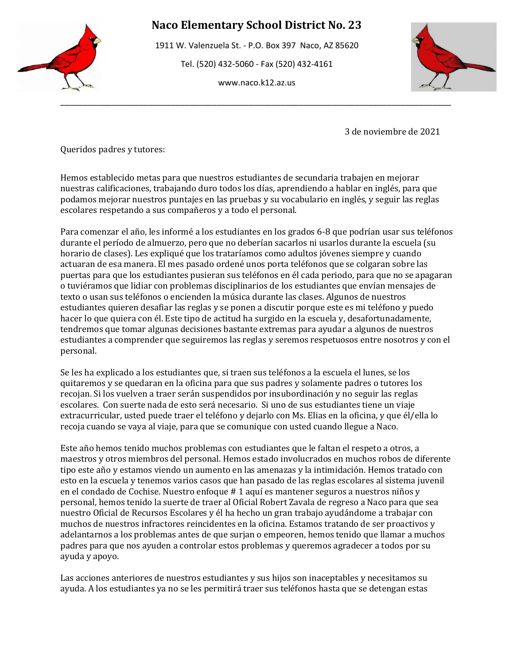

1911 W. Valenzuela St. - P.O. Box 397 Naco, AZ 85620

Tel. (520) 432-5060 - Fax (520) 432-4161

www.naco.k12.az.us

\_\_\_\_\_\_\_\_\_\_\_\_\_\_\_\_\_\_\_\_\_\_\_\_\_\_\_\_\_\_\_\_\_\_\_\_\_\_\_\_\_\_\_\_\_\_\_\_\_\_\_\_\_\_\_\_\_\_\_\_\_\_\_\_\_\_\_\_\_\_\_\_\_\_\_\_\_\_\_\_\_\_\_\_\_



3 de noviembre de 2021

Queridos padres y tutores:

Hemos establecido metas para que nuestros estudiantes de secundaria trabajen en mejorar nuestras calificaciones, trabajando duro todos los días, aprendiendo a hablar en inglés, para que podamos mejorar nuestros puntajes en las pruebas y su vocabulario en inglés, y seguir las reglas escolares respetando a sus compañeros y a todo el personal.

Para comenzar el año, les informé a los estudiantes en los grados 6-8 que podrían usar sus teléfonos durante el período de almuerzo, pero que no deberían sacarlos ni usarlos durante la escuela (su horario de clases). Les expliqué que los trataríamos como adultos jóvenes siempre y cuando actuaran de esa manera. El mes pasado ordené unos porta teléfonos que se colgaran sobre las puertas para que los estudiantes pusieran sus teléfonos en él cada periodo, para que no se apagaran o tuviéramos que lidiar con problemas disciplinarios de los estudiantes que envían mensajes de texto o usan sus teléfonos o encienden la música durante las clases. Algunos de nuestros estudiantes quieren desafiar las reglas y se ponen a discutir porque este es mi teléfono y puedo hacer lo que quiera con él. Este tipo de actitud ha surgido en la escuela y, desafortunadamente, tendremos que tomar algunas decisiones bastante extremas para ayudar a algunos de nuestros estudiantes a comprender que seguiremos las reglas y seremos respetuosos entre nosotros y con el personal.

Se les ha explicado a los estudiantes que, si traen sus teléfonos a la escuela el lunes, se los quitaremos y se quedaran en la oficina para que sus padres y solamente padres o tutores los recojan. Si los vuelven a traer serán suspendidos por insubordinación y no seguir las reglas escolares. Con suerte nada de esto será necesario. Si uno de sus estudiantes tiene un viaje extracurricular, usted puede traer el teléfono y dejarlo con Ms. Elias en la oficina, y que él/ella lo recoja cuando se vaya al viaje, para que se comunique con usted cuando llegue a Naco.

Este año hemos tenido muchos problemas con estudiantes que le faltan el respeto a otros, a maestros y otros miembros del personal. Hemos estado involucrados en muchos robos de diferente tipo este año y estamos viendo un aumento en las amenazas y la intimidación. Hemos tratado con esto en la escuela y tenemos varios casos que han pasado de las reglas escolares al sistema juvenil en el condado de Cochise. Nuestro enfoque # 1 aquí es mantener seguros a nuestros niños y personal, hemos tenido la suerte de traer al Oficial Robert Zavala de regreso a Naco para que sea nuestro Oficial de Recursos Escolares y él ha hecho un gran trabajo ayudándome a trabajar con muchos de nuestros infractores reincidentes en la oficina. Estamos tratando de ser proactivos y adelantarnos a los problemas antes de que surjan o empeoren, hemos tenido que llamar a muchos padres para que nos ayuden a controlar estos problemas y queremos agradecer a todos por su ayuda y apoyo.

Las acciones anteriores de nuestros estudiantes y sus hijos son inaceptables y necesitamos su ayuda. A los estudiantes ya no se les permitirá traer sus teléfonos hasta que se detengan estas